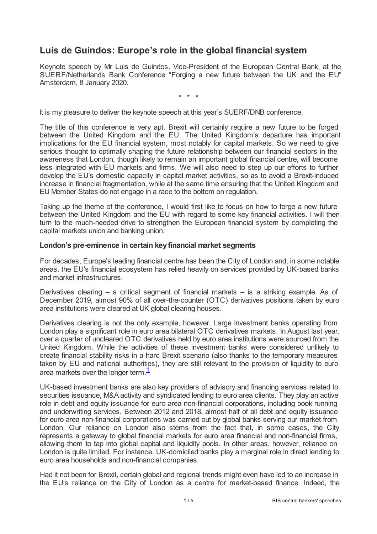# **Luis de Guindos: Europe's role in the global financial system**

Keynote speech by Mr Luis de Guindos, Vice-President of the European Central Bank, at the SUERF/Netherlands Bank Conference "Forging a new future between the UK and the EU", Amsterdam, 8 January 2020.

\* \* \*

It is my pleasure to deliver the keynote speech at this year's SUERF/DNB conference.

The title of this conference is very apt. Brexit will certainly require a new future to be forged between the United Kingdom and the EU. The United Kingdom's departure has important implications for the EU financial system, most notably for capital markets. So we need to give serious thought to optimally shaping the future relationship between our financial sectors in the awareness that London, though likely to remain an important global financial centre, will become less integrated with EU markets and firms. We will also need to step up our efforts to further develop the EU's domestic capacity in capital market activities, so as to avoid a Brexit-induced increase in financial fragmentation, while at the same time ensuring that the United Kingdom and EU Member States do not engage in a race to the bottom on regulation.

Taking up the theme of the conference, I would first like to focus on how to forge a new future between the United Kingdom and the EU with regard to some key financial activities. I will then turn to the much-needed drive to strengthen the European financial system by completing the capital markets union and banking union.

### **London's pre-eminence in certain keyfinancial market segments**

For decades, Europe's leading financial centre has been the City of London and, in some notable areas, the EU's financial ecosystem has relied heavily on services provided by UK-based banks and market infrastructures.

Derivatives clearing – a critical segment of financial markets – is a striking example. As of December 2019, almost 90% of all over-the-counter (OTC) derivatives positions taken by euro area institutions were cleared at UK global clearing houses.

Derivatives clearing is not the only example, however. Large investment banks operating from London play a significant role in euro area bilateral OTC derivatives markets. In August last year, over a quarter of uncleared OTC derivatives held by euro area institutions were sourced from the United Kingdom. While the activities of these investment banks were considered unlikely to create financial stability risks in a hard Brexit scenario (also thanks to the temporary measures taken by EU and national authorities), they are still relevant to the provision of liquidity to euro area markets over the longer term.<sup>[1](#page-4-0)</sup>

<span id="page-0-0"></span>UK-based investment banks are also key providers of advisory and financing services related to securities issuance, M&A activity and syndicated lending to euro area clients. They play an active role in debt and equity issuance for euro area non-financial corporations, including book running and underwriting services. Between 2012 and 2018, almost half of all debt and equity issuance for euro area non-financial corporations was carried out by global banks serving our market from London. Our reliance on London also stems from the fact that, in some cases, the City represents a gateway to global financial markets for euro area financial and non-financial firms, allowing them to tap into global capital and liquidity pools. In other areas, however, reliance on London is quite limited. For instance, UK-domiciled banks play a marginal role in direct lending to euro area households and non-financial companies.

Had it not been for Brexit, certain global and regional trends might even have led to an increase in the EU's reliance on the City of London as a centre for market-based finance. Indeed, the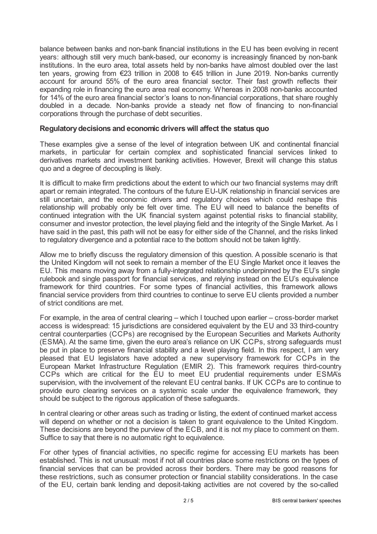balance between banks and non-bank financial institutions in the EU has been evolving in recent years: although still very much bank-based, our economy is increasingly financed by non-bank institutions. In the euro area, total assets held by non-banks have almost doubled over the last ten years, growing from €23 trillion in 2008 to €45 trillion in June 2019. Non-banks currently account for around 55% of the euro area financial sector. Their fast growth reflects their expanding role in financing the euro area real economy. Whereas in 2008 non-banks accounted for 14% of the euro area financial sector's loans to non-financial corporations, that share roughly doubled in a decade. Non-banks provide a steady net flow of financing to non-financial corporations through the purchase of debt securities.

## **Regulatorydecisions and economic driverswill affect the status quo**

These examples give a sense of the level of integration between UK and continental financial markets, in particular for certain complex and sophisticated financial services linked to derivatives markets and investment banking activities. However, Brexit will change this status quo and a degree of decoupling is likely.

It is difficult to make firm predictions about the extent to which our two financial systems may drift apart or remain integrated. The contours of the future EU-UK relationship in financial services are still uncertain, and the economic drivers and regulatory choices which could reshape this relationship will probably only be felt over time. The EU will need to balance the benefits of continued integration with the UK financial system against potential risks to financial stability, consumer and investor protection, the level playing field and the integrity of the Single Market. As I have said in the past, this path will not be easy for either side of the Channel, and the risks linked to regulatory divergence and a potential race to the bottom should not be taken lightly.

Allow me to briefly discuss the regulatory dimension of this question. A possible scenario is that the United Kingdom will not seek to remain a member of the EU Single Market once it leaves the EU. This means moving away from a fully-integrated relationship underpinned by the EU's single rulebook and single passport for financial services, and relying instead on the EU's equivalence framework for third countries. For some types of financial activities, this framework allows financial service providers from third countries to continue to serve EU clients provided a number of strict conditions are met.

For example, in the area of central clearing – which I touched upon earlier – cross-border market access is widespread: 15 jurisdictions are considered equivalent by the EU and 33 third-country central counterparties (CCPs) are recognised by the European Securities and Markets Authority (ESMA). At the same time, given the euro area's reliance on UK CCPs, strong safeguards must be put in place to preserve financial stability and a level playing field. In this respect, I am very pleased that EU legislators have adopted a new supervisory framework for CCPs in the European Market Infrastructure Regulation (EMIR 2). This framework requires third-country CCPs which are critical for the EU to meet EU prudential requirements under ESMA's supervision, with the involvement of the relevant EU central banks. If UK CCPs are to continue to provide euro clearing services on a systemic scale under the equivalence framework, they should be subject to the rigorous application of these safeguards.

In central clearing or other areas such as trading or listing, the extent of continued market access will depend on whether or not a decision is taken to grant equivalence to the United Kingdom. These decisions are beyond the purview of the ECB, and it is not my place to comment on them. Suffice to say that there is no automatic right to equivalence.

For other types of financial activities, no specific regime for accessing EU markets has been established. This is not unusual: most if not all countries place some restrictions on the types of financial services that can be provided across their borders. There may be good reasons for these restrictions, such as consumer protection or financial stability considerations. In the case of the EU, certain bank lending and deposit-taking activities are not covered by the so-called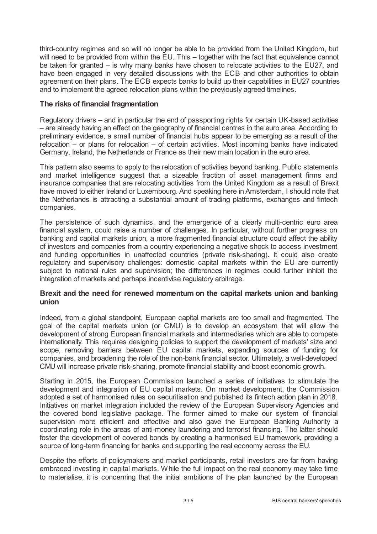third-country regimes and so will no longer be able to be provided from the United Kingdom, but will need to be provided from within the EU. This – together with the fact that equivalence cannot be taken for granted – is why many banks have chosen to relocate activities to the EU27, and have been engaged in very detailed discussions with the ECB and other authorities to obtain agreement on their plans. The ECB expects banks to build up their capabilities in EU27 countries and to implement the agreed relocation plans within the previously agreed timelines.

## **The risks of financial fragmentation**

Regulatory drivers – and in particular the end of passporting rights for certain UK-based activities – are already having an effect on the geography of financial centres in the euro area. According to preliminary evidence, a small number of financial hubs appear to be emerging as a result of the relocation – or plans for relocation – of certain activities. Most incoming banks have indicated Germany, Ireland, the Netherlands or France as their new main location in the euro area.

This pattern also seems to apply to the relocation of activities beyond banking. Public statements and market intelligence suggest that a sizeable fraction of asset management firms and insurance companies that are relocating activities from the United Kingdom as a result of Brexit have moved to either Ireland or Luxembourg. And speaking here in Amsterdam, I should note that the Netherlands is attracting a substantial amount of trading platforms, exchanges and fintech companies.

The persistence of such dynamics, and the emergence of a clearly multi-centric euro area financial system, could raise a number of challenges. In particular, without further progress on banking and capital markets union, a more fragmented financial structure could affect the ability of investors and companies from a country experiencing a negative shock to access investment and funding opportunities in unaffected countries (private risk-sharing). It could also create regulatory and supervisory challenges: domestic capital markets within the EU are currently subject to national rules and supervision; the differences in regimes could further inhibit the integration of markets and perhaps incentivise regulatory arbitrage.

## **Brexit and the need for renewed momentum on the capital markets union and banking union**

Indeed, from a global standpoint, European capital markets are too small and fragmented. The goal of the capital markets union (or CMU) is to develop an ecosystem that will allow the development of strong European financial markets and intermediaries which are able to compete internationally. This requires designing policies to support the development of markets' size and scope, removing barriers between EU capital markets, expanding sources of funding for companies, and broadening the role of the non-bank financial sector. Ultimately, a well-developed CMU will increase private risk-sharing, promote financial stability and boost economic growth.

Starting in 2015, the European Commission launched a series of initiatives to stimulate the development and integration of EU capital markets. On market development, the Commission adopted a set of harmonised rules on securitisation and published its fintech action plan in 2018. Initiatives on market integration included the review of the European Supervisory Agencies and the covered bond legislative package. The former aimed to make our system of financial supervision more efficient and effective and also gave the European Banking Authority a coordinating role in the areas of anti-money laundering and terrorist financing. The latter should foster the development of covered bonds by creating a harmonised EU framework, providing a source of long-term financing for banks and supporting the real economy across the EU.

Despite the efforts of policymakers and market participants, retail investors are far from having embraced investing in capital markets. While the full impact on the real economy may take time to materialise, it is concerning that the initial ambitions of the plan launched by the European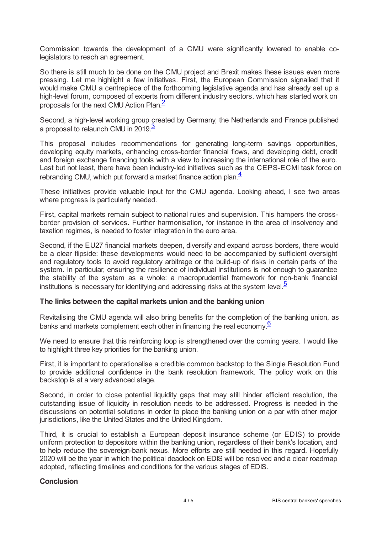Commission towards the development of a CMU were significantly lowered to enable colegislators to reach an agreement.

So there is still much to be done on the CMU project and Brexit makes these issues even more pressing. Let me highlight a few initiatives. First, the European Commission signalled that it would make CMU a centrepiece of the forthcoming legislative agenda and has already set up a high-level forum, composed of experts from different industry sectors, which has started work on proposals for the next CMU Action Plan. [2](#page-4-1)

<span id="page-3-1"></span><span id="page-3-0"></span>Second, a high-level working group created by Germany, the Netherlands and France published a proposal to relaunch CMU in 2019.<sup>[3](#page-4-2)</sup>

This proposal includes recommendations for generating long-term savings opportunities, developing equity markets, enhancing cross-border financial flows, and developing debt, credit and foreign exchange financing tools with a view to increasing the international role of the euro. Last but not least, there have been industry-led initiatives such as the CEPS-ECMI task force on rebranding CMU, which put forward a market finance action plan.<sup>[4](#page-4-3)</sup>

<span id="page-3-2"></span>These initiatives provide valuable input for the CMU agenda. Looking ahead, I see two areas where progress is particularly needed.

First, capital markets remain subject to national rules and supervision. This hampers the crossborder provision of services. Further harmonisation, for instance in the area of insolvency and taxation regimes, is needed to foster integration in the euro area.

Second, if the EU27 financial markets deepen, diversify and expand across borders, there would be a clear flipside: these developments would need to be accompanied by sufficient oversight and regulatory tools to avoid regulatory arbitrage or the build-up of risks in certain parts of the system. In particular, ensuring the resilience of individual institutions is not enough to guarantee the stability of the system as a whole: a macroprudential framework for non-bank financial institutions is necessary for identifying and addressing risks at the system level.<sup>[5](#page-4-4)</sup>

## <span id="page-3-3"></span>**The links between the capital markets union and the banking union**

<span id="page-3-4"></span>Revitalising the CMU agenda will also bring benefits for the completion of the banking union, as banks and markets complement each other in financing the real economy.<sup>[6](#page-4-5)</sup>

We need to ensure that this reinforcing loop is strengthened over the coming years. I would like to highlight three key priorities for the banking union.

First, it is important to operationalise a credible common backstop to the Single Resolution Fund to provide additional confidence in the bank resolution framework. The policy work on this backstop is at a very advanced stage.

Second, in order to close potential liquidity gaps that may still hinder efficient resolution, the outstanding issue of liquidity in resolution needs to be addressed. Progress is needed in the discussions on potential solutions in order to place the banking union on a par with other major jurisdictions, like the United States and the United Kingdom.

Third, it is crucial to establish a European deposit insurance scheme (or EDIS) to provide uniform protection to depositors within the banking union, regardless of their bank's location, and to help reduce the sovereign-bank nexus. More efforts are still needed in this regard. Hopefully 2020 will be the year in which the political deadlock on EDIS will be resolved and a clear roadmap adopted, reflecting timelines and conditions for the various stages of EDIS.

#### **Conclusion**